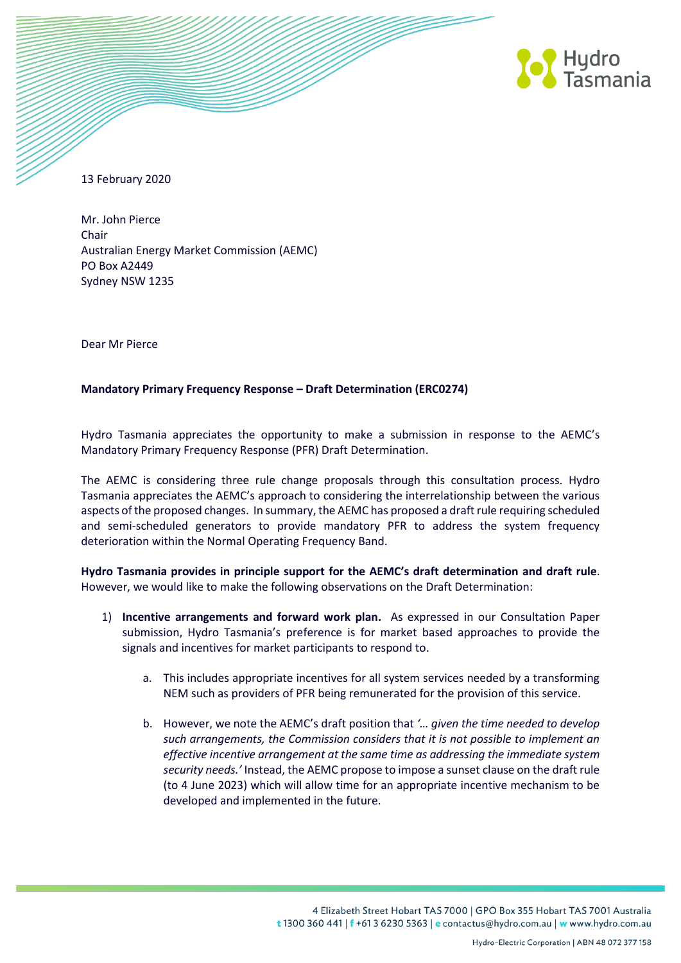

13 February 2020

Mr. John Pierce Chair Australian Energy Market Commission (AEMC) PO Box A2449 Sydney NSW 1235

Dear Mr Pierce

## **Mandatory Primary Frequency Response – Draft Determination (ERC0274)**

Hydro Tasmania appreciates the opportunity to make a submission in response to the AEMC's Mandatory Primary Frequency Response (PFR) Draft Determination.

The AEMC is considering three rule change proposals through this consultation process. Hydro Tasmania appreciates the AEMC's approach to considering the interrelationship between the various aspects of the proposed changes. In summary, the AEMC has proposed a draft rule requiring scheduled and semi-scheduled generators to provide mandatory PFR to address the system frequency deterioration within the Normal Operating Frequency Band.

**Hydro Tasmania provides in principle support for the AEMC's draft determination and draft rule**. However, we would like to make the following observations on the Draft Determination:

- 1) **Incentive arrangements and forward work plan.** As expressed in our Consultation Paper submission, Hydro Tasmania's preference is for market based approaches to provide the signals and incentives for market participants to respond to.
	- a. This includes appropriate incentives for all system services needed by a transforming NEM such as providers of PFR being remunerated for the provision of this service.
	- b. However, we note the AEMC's draft position that *'… given the time needed to develop such arrangements, the Commission considers that it is not possible to implement an effective incentive arrangement at the same time as addressing the immediate system security needs.'* Instead, the AEMC propose to impose a sunset clause on the draft rule (to 4 June 2023) which will allow time for an appropriate incentive mechanism to be developed and implemented in the future.

4 Elizabeth Street Hobart TAS 7000 | GPO Box 355 Hobart TAS 7001 Australia t 1300 360 441 | f +61 3 6230 5363 | e contactus@hydro.com.au | w www.hydro.com.au